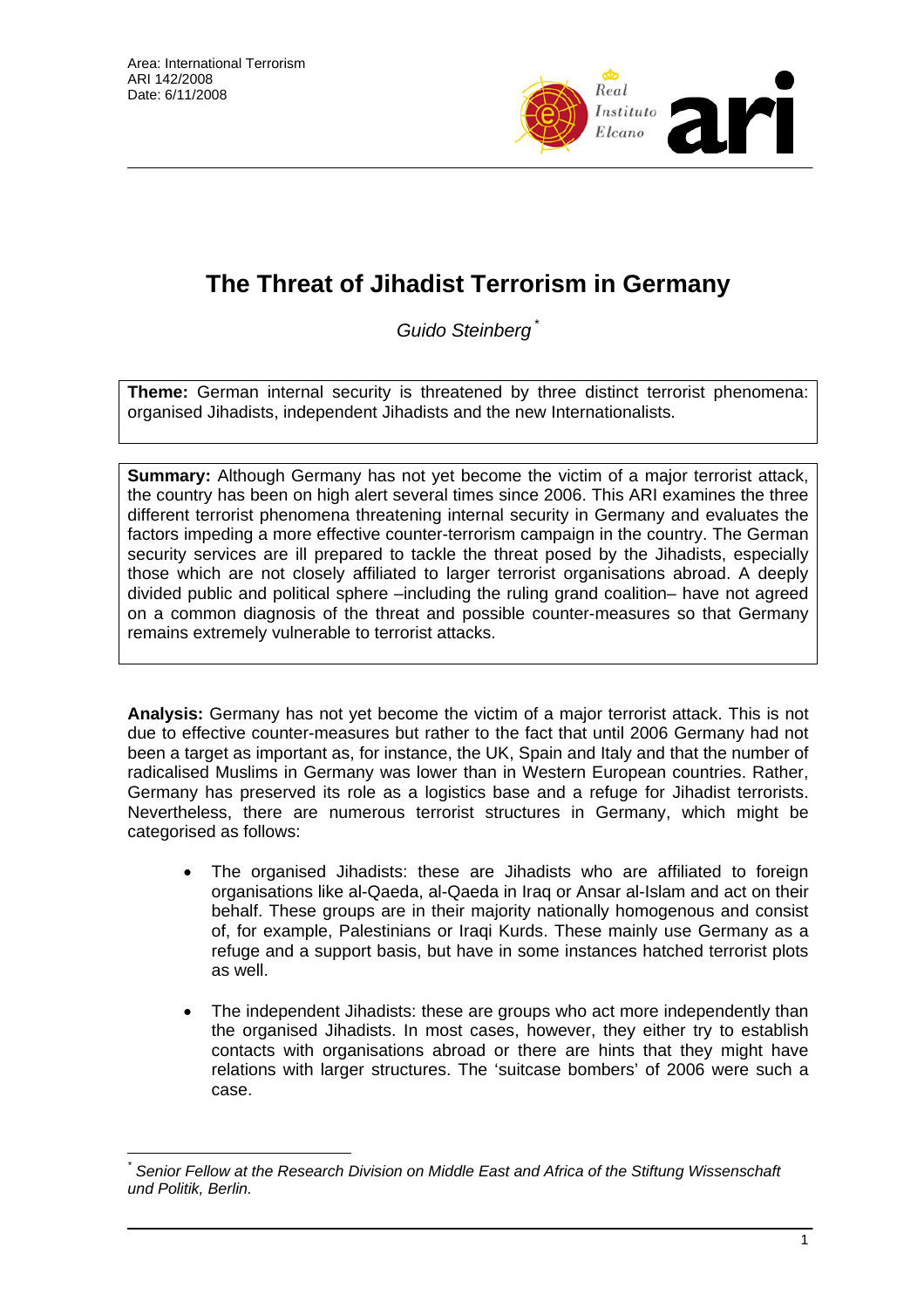

# **The Threat of Jihadist Terrorism in Germany**

*Guido Steinberg* \*

**Theme:** German internal security is threatened by three distinct terrorist phenomena: organised Jihadists, independent Jihadists and the new Internationalists.

**Summary:** Although Germany has not yet become the victim of a major terrorist attack, the country has been on high alert several times since 2006. This ARI examines the three different terrorist phenomena threatening internal security in Germany and evaluates the factors impeding a more effective counter-terrorism campaign in the country. The German security services are ill prepared to tackle the threat posed by the Jihadists, especially those which are not closely affiliated to larger terrorist organisations abroad. A deeply divided public and political sphere –including the ruling grand coalition– have not agreed on a common diagnosis of the threat and possible counter-measures so that Germany remains extremely vulnerable to terrorist attacks.

**Analysis:** Germany has not yet become the victim of a major terrorist attack. This is not due to effective counter-measures but rather to the fact that until 2006 Germany had not been a target as important as, for instance, the UK, Spain and Italy and that the number of radicalised Muslims in Germany was lower than in Western European countries. Rather, Germany has preserved its role as a logistics base and a refuge for Jihadist terrorists. Nevertheless, there are numerous terrorist structures in Germany, which might be categorised as follows:

- The organised Jihadists: these are Jihadists who are affiliated to foreign organisations like al-Qaeda, al-Qaeda in Iraq or Ansar al-Islam and act on their behalf. These groups are in their majority nationally homogenous and consist of, for example, Palestinians or Iraqi Kurds. These mainly use Germany as a refuge and a support basis, but have in some instances hatched terrorist plots as well.
- The independent Jihadists: these are groups who act more independently than the organised Jihadists. In most cases, however, they either try to establish contacts with organisations abroad or there are hints that they might have relations with larger structures. The 'suitcase bombers' of 2006 were such a case.

 $\overline{a}$ *\* Senior Fellow at the Research Division on Middle East and Africa of the Stiftung Wissenschaft und Politik, Berlin.*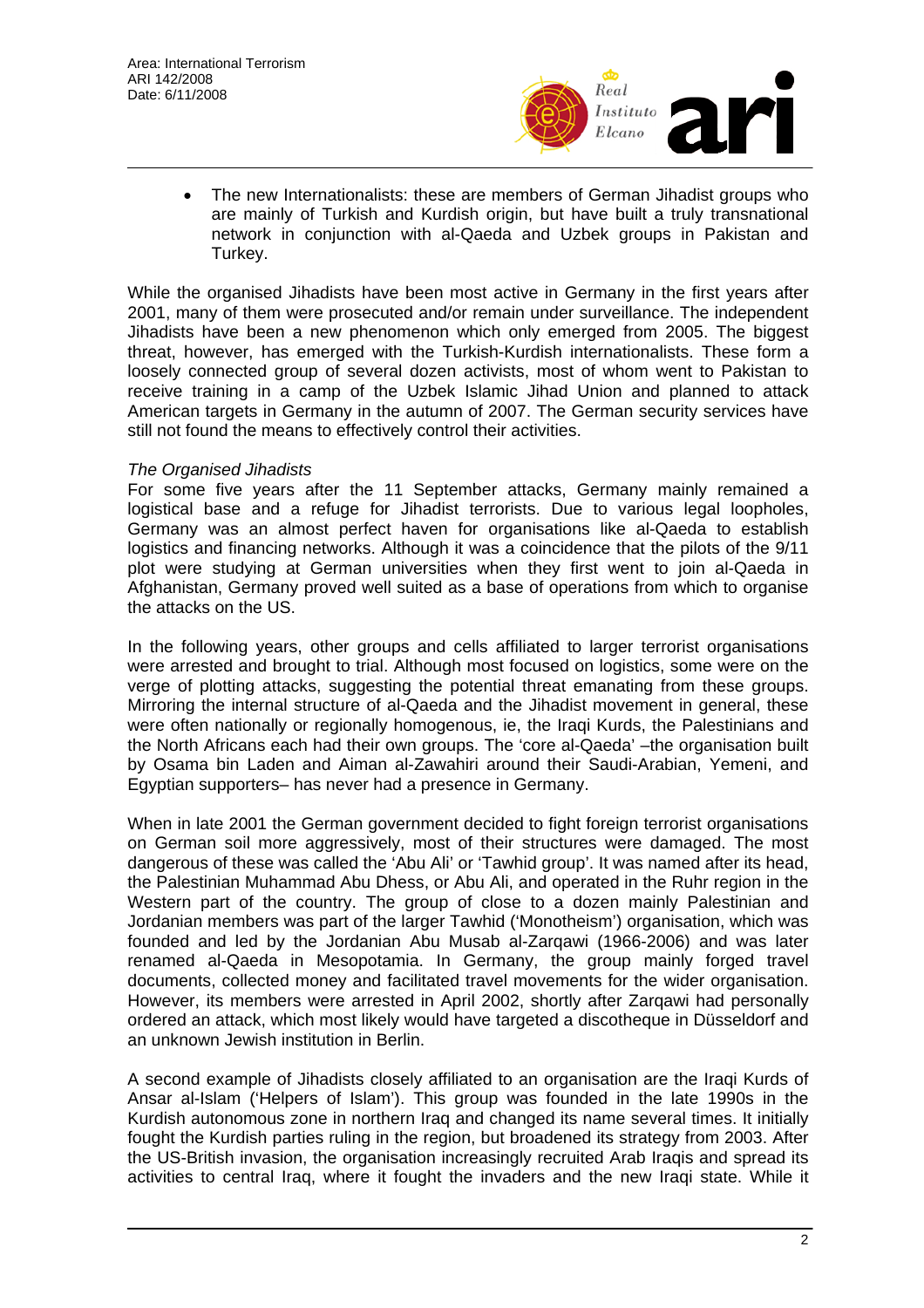

• The new Internationalists: these are members of German Jihadist groups who are mainly of Turkish and Kurdish origin, but have built a truly transnational network in conjunction with al-Qaeda and Uzbek groups in Pakistan and Turkey.

While the organised Jihadists have been most active in Germany in the first years after 2001, many of them were prosecuted and/or remain under surveillance. The independent Jihadists have been a new phenomenon which only emerged from 2005. The biggest threat, however, has emerged with the Turkish-Kurdish internationalists. These form a loosely connected group of several dozen activists, most of whom went to Pakistan to receive training in a camp of the Uzbek Islamic Jihad Union and planned to attack American targets in Germany in the autumn of 2007. The German security services have still not found the means to effectively control their activities.

#### *The Organised Jihadists*

For some five years after the 11 September attacks, Germany mainly remained a logistical base and a refuge for Jihadist terrorists. Due to various legal loopholes, Germany was an almost perfect haven for organisations like al-Qaeda to establish logistics and financing networks. Although it was a coincidence that the pilots of the 9/11 plot were studying at German universities when they first went to join al-Qaeda in Afghanistan, Germany proved well suited as a base of operations from which to organise the attacks on the US.

In the following years, other groups and cells affiliated to larger terrorist organisations were arrested and brought to trial. Although most focused on logistics, some were on the verge of plotting attacks, suggesting the potential threat emanating from these groups. Mirroring the internal structure of al-Qaeda and the Jihadist movement in general, these were often nationally or regionally homogenous, ie, the Iraqi Kurds, the Palestinians and the North Africans each had their own groups. The 'core al-Qaeda' –the organisation built by Osama bin Laden and Aiman al-Zawahiri around their Saudi-Arabian, Yemeni, and Egyptian supporters– has never had a presence in Germany.

When in late 2001 the German government decided to fight foreign terrorist organisations on German soil more aggressively, most of their structures were damaged. The most dangerous of these was called the 'Abu Ali' or 'Tawhid group'. It was named after its head, the Palestinian Muhammad Abu Dhess, or Abu Ali, and operated in the Ruhr region in the Western part of the country. The group of close to a dozen mainly Palestinian and Jordanian members was part of the larger Tawhid ('Monotheism') organisation, which was founded and led by the Jordanian Abu Musab al-Zarqawi (1966-2006) and was later renamed al-Qaeda in Mesopotamia. In Germany, the group mainly forged travel documents, collected money and facilitated travel movements for the wider organisation. However, its members were arrested in April 2002, shortly after Zarqawi had personally ordered an attack, which most likely would have targeted a discotheque in Düsseldorf and an unknown Jewish institution in Berlin.

A second example of Jihadists closely affiliated to an organisation are the Iraqi Kurds of Ansar al-Islam ('Helpers of Islam'). This group was founded in the late 1990s in the Kurdish autonomous zone in northern Iraq and changed its name several times. It initially fought the Kurdish parties ruling in the region, but broadened its strategy from 2003. After the US-British invasion, the organisation increasingly recruited Arab Iraqis and spread its activities to central Iraq, where it fought the invaders and the new Iraqi state. While it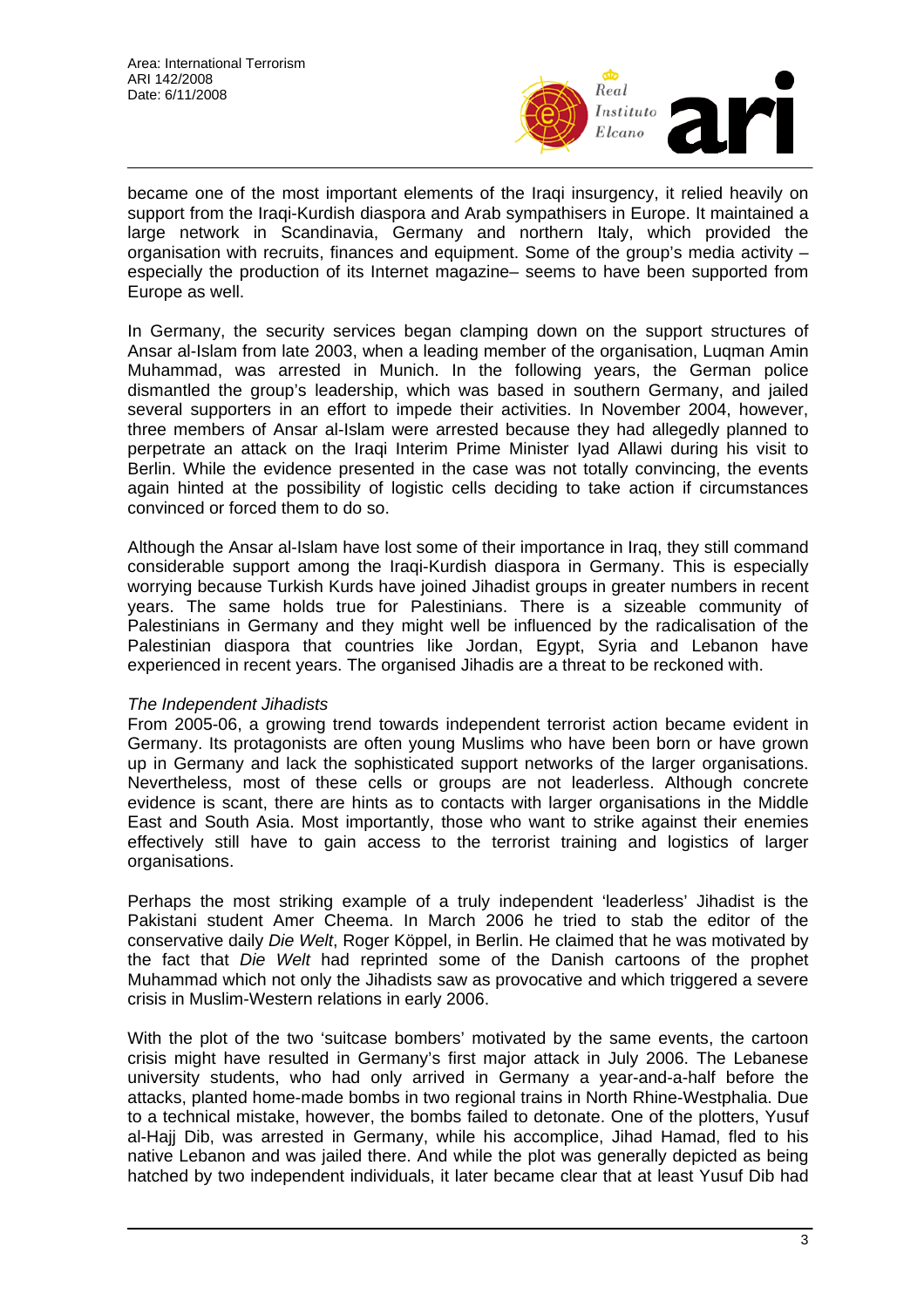

became one of the most important elements of the Iraqi insurgency, it relied heavily on support from the Iraqi-Kurdish diaspora and Arab sympathisers in Europe. It maintained a large network in Scandinavia, Germany and northern Italy, which provided the organisation with recruits, finances and equipment. Some of the group's media activity – especially the production of its Internet magazine– seems to have been supported from Europe as well.

In Germany, the security services began clamping down on the support structures of Ansar al-Islam from late 2003, when a leading member of the organisation, Luqman Amin Muhammad, was arrested in Munich. In the following years, the German police dismantled the group's leadership, which was based in southern Germany, and jailed several supporters in an effort to impede their activities. In November 2004, however, three members of Ansar al-Islam were arrested because they had allegedly planned to perpetrate an attack on the Iraqi Interim Prime Minister Iyad Allawi during his visit to Berlin. While the evidence presented in the case was not totally convincing, the events again hinted at the possibility of logistic cells deciding to take action if circumstances convinced or forced them to do so.

Although the Ansar al-Islam have lost some of their importance in Iraq, they still command considerable support among the Iraqi-Kurdish diaspora in Germany. This is especially worrying because Turkish Kurds have joined Jihadist groups in greater numbers in recent years. The same holds true for Palestinians. There is a sizeable community of Palestinians in Germany and they might well be influenced by the radicalisation of the Palestinian diaspora that countries like Jordan, Egypt, Syria and Lebanon have experienced in recent years. The organised Jihadis are a threat to be reckoned with.

## *The Independent Jihadists*

From 2005-06, a growing trend towards independent terrorist action became evident in Germany. Its protagonists are often young Muslims who have been born or have grown up in Germany and lack the sophisticated support networks of the larger organisations. Nevertheless, most of these cells or groups are not leaderless. Although concrete evidence is scant, there are hints as to contacts with larger organisations in the Middle East and South Asia. Most importantly, those who want to strike against their enemies effectively still have to gain access to the terrorist training and logistics of larger organisations.

Perhaps the most striking example of a truly independent 'leaderless' Jihadist is the Pakistani student Amer Cheema. In March 2006 he tried to stab the editor of the conservative daily *Die Welt*, Roger Köppel, in Berlin. He claimed that he was motivated by the fact that *Die Welt* had reprinted some of the Danish cartoons of the prophet Muhammad which not only the Jihadists saw as provocative and which triggered a severe crisis in Muslim-Western relations in early 2006.

With the plot of the two 'suitcase bombers' motivated by the same events, the cartoon crisis might have resulted in Germany's first major attack in July 2006. The Lebanese university students, who had only arrived in Germany a year-and-a-half before the attacks, planted home-made bombs in two regional trains in North Rhine-Westphalia. Due to a technical mistake, however, the bombs failed to detonate. One of the plotters, Yusuf al-Hajj Dib, was arrested in Germany, while his accomplice, Jihad Hamad, fled to his native Lebanon and was jailed there. And while the plot was generally depicted as being hatched by two independent individuals, it later became clear that at least Yusuf Dib had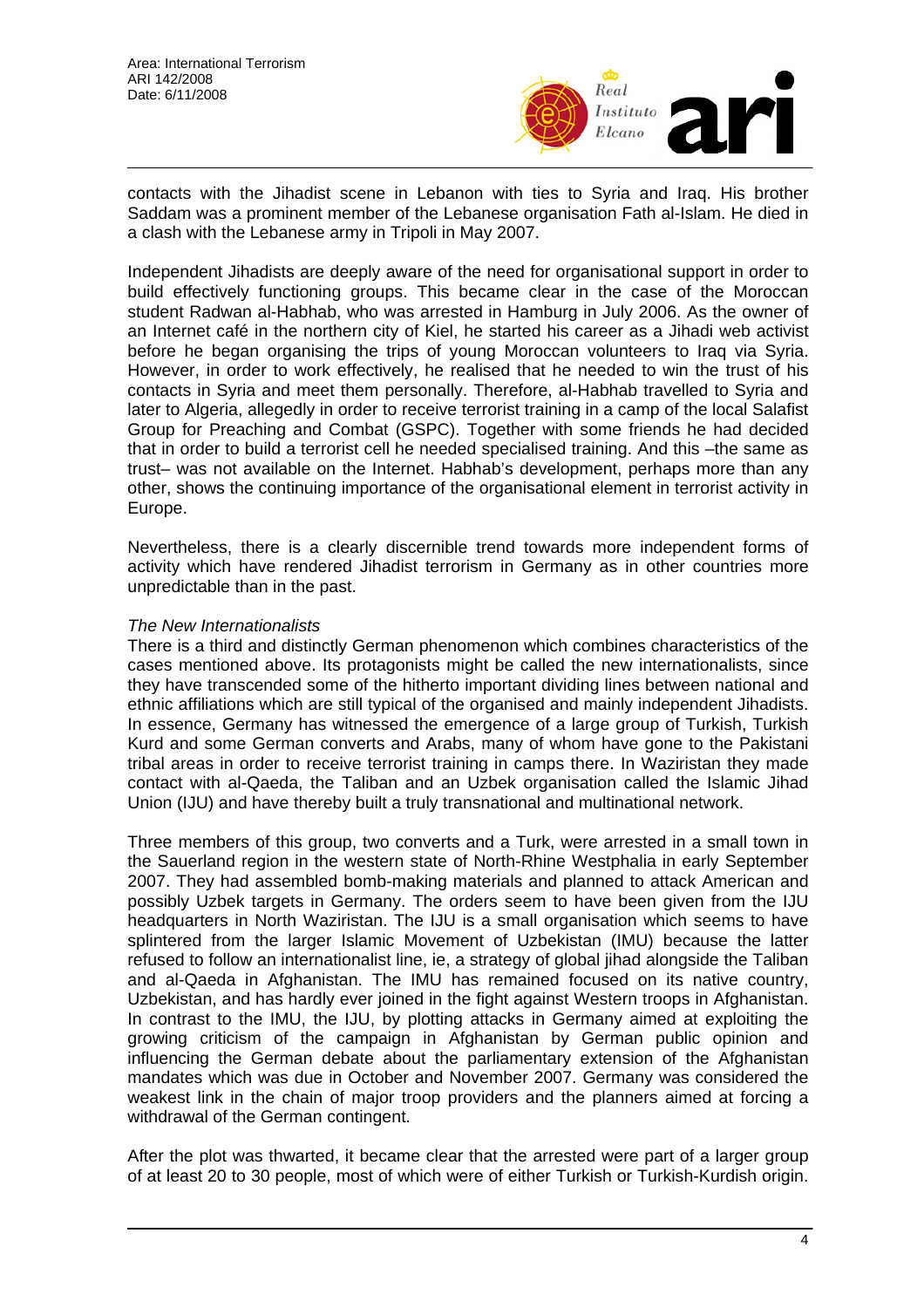

contacts with the Jihadist scene in Lebanon with ties to Syria and Iraq. His brother Saddam was a prominent member of the Lebanese organisation Fath al-Islam. He died in a clash with the Lebanese army in Tripoli in May 2007.

Independent Jihadists are deeply aware of the need for organisational support in order to build effectively functioning groups. This became clear in the case of the Moroccan student Radwan al-Habhab, who was arrested in Hamburg in July 2006. As the owner of an Internet café in the northern city of Kiel, he started his career as a Jihadi web activist before he began organising the trips of young Moroccan volunteers to Iraq via Syria. However, in order to work effectively, he realised that he needed to win the trust of his contacts in Syria and meet them personally. Therefore, al-Habhab travelled to Syria and later to Algeria, allegedly in order to receive terrorist training in a camp of the local Salafist Group for Preaching and Combat (GSPC). Together with some friends he had decided that in order to build a terrorist cell he needed specialised training. And this –the same as trust– was not available on the Internet. Habhab's development, perhaps more than any other, shows the continuing importance of the organisational element in terrorist activity in Europe.

Nevertheless, there is a clearly discernible trend towards more independent forms of activity which have rendered Jihadist terrorism in Germany as in other countries more unpredictable than in the past.

#### *The New Internationalists*

There is a third and distinctly German phenomenon which combines characteristics of the cases mentioned above. Its protagonists might be called the new internationalists, since they have transcended some of the hitherto important dividing lines between national and ethnic affiliations which are still typical of the organised and mainly independent Jihadists. In essence, Germany has witnessed the emergence of a large group of Turkish, Turkish Kurd and some German converts and Arabs, many of whom have gone to the Pakistani tribal areas in order to receive terrorist training in camps there. In Waziristan they made contact with al-Qaeda, the Taliban and an Uzbek organisation called the Islamic Jihad Union (IJU) and have thereby built a truly transnational and multinational network.

Three members of this group, two converts and a Turk, were arrested in a small town in the Sauerland region in the western state of North-Rhine Westphalia in early September 2007. They had assembled bomb-making materials and planned to attack American and possibly Uzbek targets in Germany. The orders seem to have been given from the IJU headquarters in North Waziristan. The IJU is a small organisation which seems to have splintered from the larger Islamic Movement of Uzbekistan (IMU) because the latter refused to follow an internationalist line, ie, a strategy of global jihad alongside the Taliban and al-Qaeda in Afghanistan. The IMU has remained focused on its native country, Uzbekistan, and has hardly ever joined in the fight against Western troops in Afghanistan. In contrast to the IMU, the IJU, by plotting attacks in Germany aimed at exploiting the growing criticism of the campaign in Afghanistan by German public opinion and influencing the German debate about the parliamentary extension of the Afghanistan mandates which was due in October and November 2007. Germany was considered the weakest link in the chain of major troop providers and the planners aimed at forcing a withdrawal of the German contingent.

After the plot was thwarted, it became clear that the arrested were part of a larger group of at least 20 to 30 people, most of which were of either Turkish or Turkish-Kurdish origin.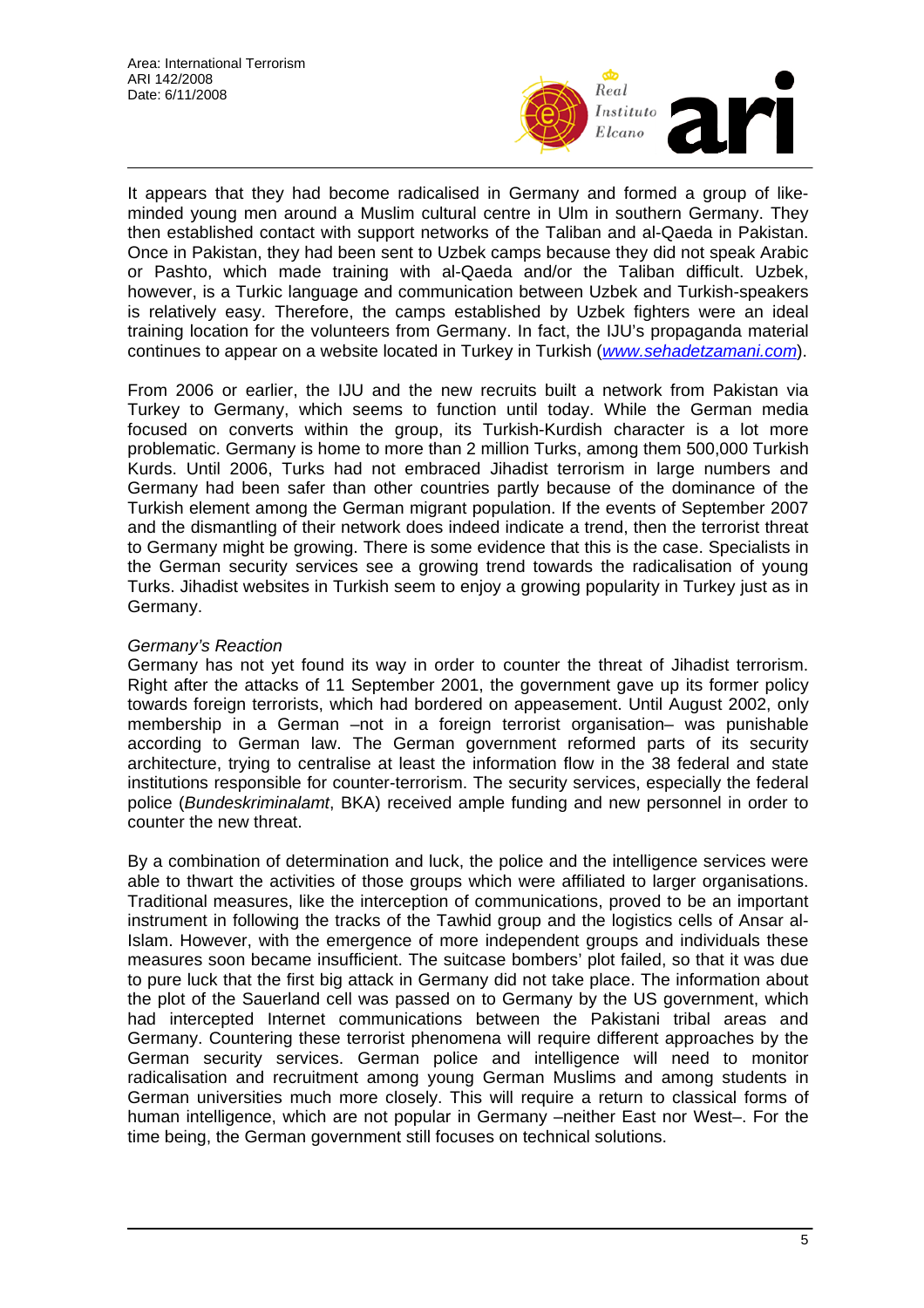

It appears that they had become radicalised in Germany and formed a group of likeminded young men around a Muslim cultural centre in Ulm in southern Germany. They then established contact with support networks of the Taliban and al-Qaeda in Pakistan. Once in Pakistan, they had been sent to Uzbek camps because they did not speak Arabic or Pashto, which made training with al-Qaeda and/or the Taliban difficult. Uzbek, however, is a Turkic language and communication between Uzbek and Turkish-speakers is relatively easy. Therefore, the camps established by Uzbek fighters were an ideal training location for the volunteers from Germany. In fact, the IJU's propaganda material continues to appear on a website located in Turkey in Turkish (*www.sehadetzamani.com*).

From 2006 or earlier, the IJU and the new recruits built a network from Pakistan via Turkey to Germany, which seems to function until today. While the German media focused on converts within the group, its Turkish-Kurdish character is a lot more problematic. Germany is home to more than 2 million Turks, among them 500,000 Turkish Kurds. Until 2006, Turks had not embraced Jihadist terrorism in large numbers and Germany had been safer than other countries partly because of the dominance of the Turkish element among the German migrant population. If the events of September 2007 and the dismantling of their network does indeed indicate a trend, then the terrorist threat to Germany might be growing. There is some evidence that this is the case. Specialists in the German security services see a growing trend towards the radicalisation of young Turks. Jihadist websites in Turkish seem to enjoy a growing popularity in Turkey just as in Germany.

# *Germany's Reaction*

Germany has not yet found its way in order to counter the threat of Jihadist terrorism. Right after the attacks of 11 September 2001, the government gave up its former policy towards foreign terrorists, which had bordered on appeasement. Until August 2002, only membership in a German –not in a foreign terrorist organisation– was punishable according to German law. The German government reformed parts of its security architecture, trying to centralise at least the information flow in the 38 federal and state institutions responsible for counter-terrorism. The security services, especially the federal police (*Bundeskriminalamt*, BKA) received ample funding and new personnel in order to counter the new threat.

By a combination of determination and luck, the police and the intelligence services were able to thwart the activities of those groups which were affiliated to larger organisations. Traditional measures, like the interception of communications, proved to be an important instrument in following the tracks of the Tawhid group and the logistics cells of Ansar al-Islam. However, with the emergence of more independent groups and individuals these measures soon became insufficient. The suitcase bombers' plot failed, so that it was due to pure luck that the first big attack in Germany did not take place. The information about the plot of the Sauerland cell was passed on to Germany by the US government, which had intercepted Internet communications between the Pakistani tribal areas and Germany. Countering these terrorist phenomena will require different approaches by the German security services. German police and intelligence will need to monitor radicalisation and recruitment among young German Muslims and among students in German universities much more closely. This will require a return to classical forms of human intelligence, which are not popular in Germany –neither East nor West–. For the time being, the German government still focuses on technical solutions.